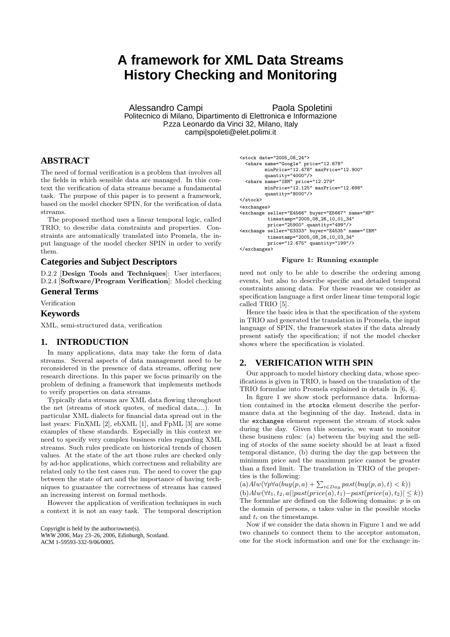# **A framework for XML Data Streams History Checking and Monitoring**

Alessandro Campi Paola Spoletini Politecnico di Milano, Dipartimento di Elettronica e Informazione P.zza Leonardo da Vinci 32, Milano, Italy campi|spoleti@elet.polimi.it

## **ABSTRACT**

The need of formal verification is a problem that involves all the fields in which sensible data are managed. In this context the verification of data streams became a fundamental task. The purpose of this paper is to present a framework, based on the model checker SPIN, for the verification of data streams.

The proposed method uses a linear temporal logic, called TRIO, to describe data constraints and properties. Constraints are automatically translated into Promela, the input language of the model checker SPIN in order to verify them.

## **Categories and Subject Descriptors**

D.2.2 [Design Tools and Techniques]: User interfaces; D.2.4 [Software/Program Verification]: Model checking

## **General Terms**

Verification

### **Keywords**

XML, semi-structured data, verification

## **1. INTRODUCTION**

In many applications, data may take the form of data streams. Several aspects of data management need to be reconsidered in the presence of data streams, offering new research directions. In this paper we focus primarily on the problem of defining a framework that implements methods to verify properties on data streams.

Typically data streams are XML data flowing throughout the net (streams of stock quotes, of medical data,...). In particular XML dialects for financial data spread out in the last years: FinXML [2], ebXML [1], and FpML [3] are some examples of these standards. Especially in this context we need to specify very complex business rules regarding XML streams. Such rules predicate on historical trends of chosen values. At the state of the art those rules are checked only by ad-hoc applications, which correctness and reliability are related only to the test cases run. The need to cover the gap between the state of art and the importance of having techniques to guarantee the correctness of streams has caused an increasing interest on formal methods.

However the application of verification techniques in such a context it is not an easy task. The temporal description

Copyright is held by the author/owner(s). *WWW 2006,* May 23–26, 2006, Edinburgh, Scotland. ACM 1-59593-332-9/06/0005.



#### Figure 1: Running example

need not only to be able to describe the ordering among events, but also to describe specific and detailed temporal constraints among data. For these reasons we consider as specification language a first order linear time temporal logic called TRIO [5].

Hence the basic idea is that the specification of the system in TRIO and generated the translation in Promela, the input language of SPIN, the framework states if the data already present satisfy the specification; if not the model checker shows where the specification is violated.

## **2. VERIFICATION WITH SPIN**

Our approach to model history checking data, whose specifications is given in TRIO, is based on the translation of the TRIO formulae into Promela explained in details in [6, 4].

In figure 1 we show stock performance data. Information contained in the stocks element describe the performance data at the beginning of the day. Instead, data in the exchanges element represent the stream of stock sales during the day. Given this scenario, we want to monitor these business rules: (a) between the buying and the selling of stocks of the same society should be at least a fixed temporal distance, (b) during the day the gap between the minimum price and the maximum price cannot be greater than a fixed limit. The translation in TRIO of the properties is the following:

 $(a)$ Alw $(\forall p \forall a (buy(p, a) + \sum_{t \in Day} past(buy(p, a), t) < k))$  $(b)$ Alw( $\forall t_1, t_2, a(|past(price(a), t_1)-past(price(a), t_2)| \leq k)$ ) The formulae are defined on the following domains:  $p$  is on the domain of persons, a takes value in the possible stocks and  $t_i$  on the timestamps.

Now if we consider the data shown in Figure 1 and we add two channels to connect them to the acceptor automaton, one for the stock information and one for the exchange in-